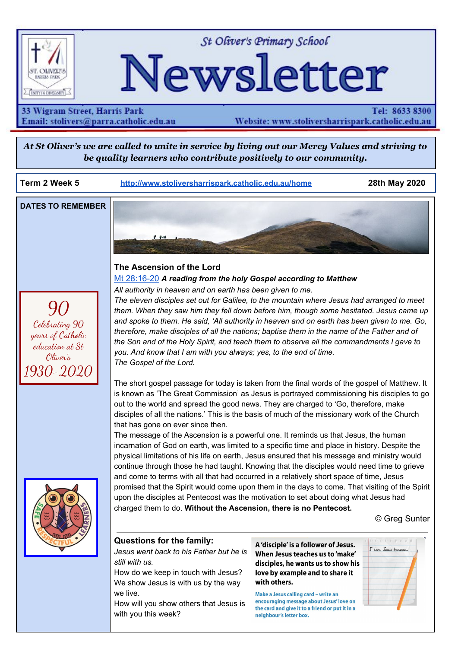

St Oliver's Primary School

# Newsletter

33 Wigram Street, Harris Park Email: stolivers@parra.catholic.edu.au

Tel: 8633 8300 Website: www.stoliversharrispark.catholic.edu.au

At St Oliver's we are called to unite in service by living out our Mercy Values and striving to *be quality learners who contribute positively to our community.*

**Term 2 Week 5 [http://www.stoliversharrispark.catholic.edu.au/home](http://www.stoliversharrispark.catholic.edu.au/) 28th May 2020**